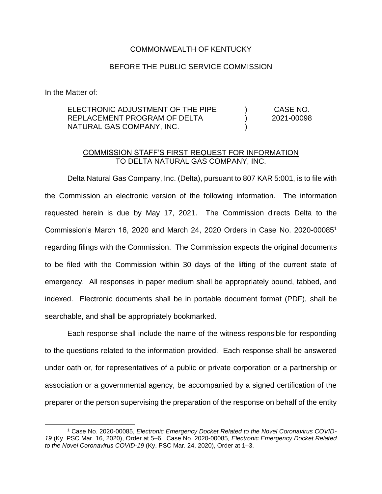## COMMONWEALTH OF KENTUCKY

## BEFORE THE PUBLIC SERVICE COMMISSION

In the Matter of:

| ELECTRONIC ADJUSTMENT OF THE PIPE | CASE NO.   |
|-----------------------------------|------------|
| REPLACEMENT PROGRAM OF DELTA      | 2021-00098 |
| NATURAL GAS COMPANY, INC.         |            |

## COMMISSION STAFF'S FIRST REQUEST FOR INFORMATION TO DELTA NATURAL GAS COMPANY, INC.

Delta Natural Gas Company, Inc. (Delta), pursuant to 807 KAR 5:001, is to file with the Commission an electronic version of the following information. The information requested herein is due by May 17, 2021. The Commission directs Delta to the Commission's March 16, 2020 and March 24, 2020 Orders in Case No. 2020-00085<sup>1</sup> regarding filings with the Commission. The Commission expects the original documents to be filed with the Commission within 30 days of the lifting of the current state of emergency. All responses in paper medium shall be appropriately bound, tabbed, and indexed. Electronic documents shall be in portable document format (PDF), shall be searchable, and shall be appropriately bookmarked.

Each response shall include the name of the witness responsible for responding to the questions related to the information provided. Each response shall be answered under oath or, for representatives of a public or private corporation or a partnership or association or a governmental agency, be accompanied by a signed certification of the preparer or the person supervising the preparation of the response on behalf of the entity

<sup>1</sup> Case No. 2020-00085, *Electronic Emergency Docket Related to the Novel Coronavirus COVID-19* (Ky. PSC Mar. 16, 2020), Order at 5–6. Case No. 2020-00085, *Electronic Emergency Docket Related to the Novel Coronavirus COVID-19* (Ky. PSC Mar. 24, 2020), Order at 1–3.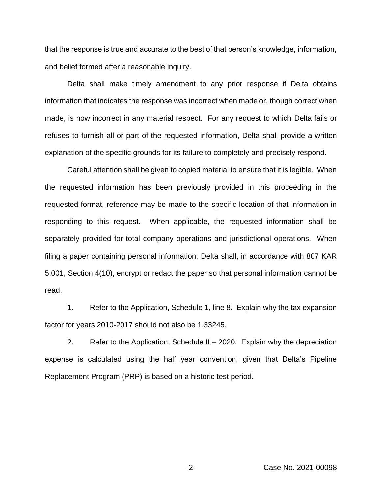that the response is true and accurate to the best of that person's knowledge, information, and belief formed after a reasonable inquiry.

Delta shall make timely amendment to any prior response if Delta obtains information that indicates the response was incorrect when made or, though correct when made, is now incorrect in any material respect. For any request to which Delta fails or refuses to furnish all or part of the requested information, Delta shall provide a written explanation of the specific grounds for its failure to completely and precisely respond.

Careful attention shall be given to copied material to ensure that it is legible. When the requested information has been previously provided in this proceeding in the requested format, reference may be made to the specific location of that information in responding to this request. When applicable, the requested information shall be separately provided for total company operations and jurisdictional operations. When filing a paper containing personal information, Delta shall, in accordance with 807 KAR 5:001, Section 4(10), encrypt or redact the paper so that personal information cannot be read.

1. Refer to the Application, Schedule 1, line 8. Explain why the tax expansion factor for years 2010-2017 should not also be 1.33245.

2. Refer to the Application, Schedule II – 2020. Explain why the depreciation expense is calculated using the half year convention, given that Delta's Pipeline Replacement Program (PRP) is based on a historic test period.

-2- Case No. 2021-00098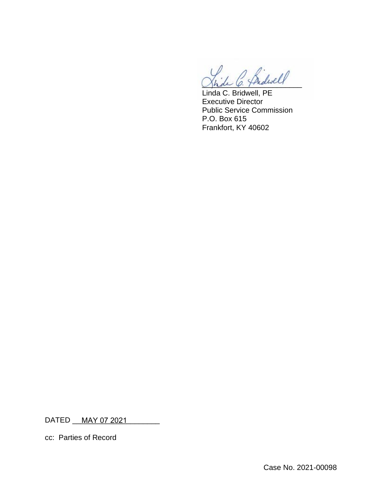2 Sidwell

Linda C. Bridwell, PE Executive Director Public Service Commission P.O. Box 615 Frankfort, KY 40602

DATED \_\_\_\_<u>MAY 07 2021 \_</u>\_\_\_\_\_\_\_\_\_

cc: Parties of Record